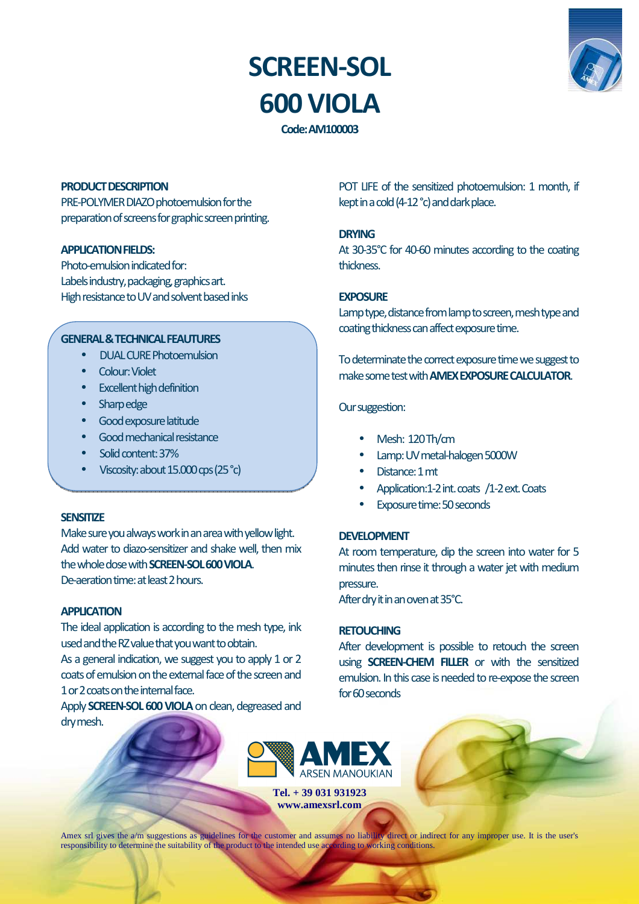# **SCREEN-SOL 600 VIOLA**



**Code: AM100003** 

#### **PRODUCT DESCRIPTION**

PRE-POLYMER DIAZO photoemulsion for the preparation of screens for graphic screen printing.

#### **APPLICATION FIELDS:**

Photo-emulsion indicated for: Labels industry, packaging, graphics art. High resistance to UV and solvent based inks

## **GENERAL & TECHNICAL FEAUTURES**

- DUAL CURE Photoemulsion
- Colour: Violet
- Excellent high definition
- Sharp edge
- Good exposure latitude
- Good mechanical resistance
- Solid content: 37%
- Viscosity: about 15.000 cps (25 °c)

# **SENSITIZE**

Make sure you always work in an area with yellow light. Add water to diazo-sensitizer and shake well, then mix the whole dose with **SCREEN-SOL 600 VIOLA**. De-aeration time: at least 2 hours.

#### **APPLICATION**

The ideal application is according to the mesh type, ink used and the RZ value that you want to obtain.

As a general indication, we suggest you to apply 1 or 2 coats of emulsion on the external face of the screen and 1 or 2 coats on the internal face.

Apply **SCREEN-SOL 600 VIOLA** on clean, degreased and dry mesh.

POT LIFE of the sensitized photoemulsion: 1 month, if kept in a cold (4-12 °c) and dark place.

## **DRYING**

At 30-35°C for 40-60 minutes according to the coating thickness.

## **EXPOSURE**

Lamp type, distance from lamp to screen, mesh type and coating thickness can affect exposure time.

To determinate the correct exposure time we suggest to make some test with **AMEX EXPOSURE CALCULATOR**.

## Our suggestion:

- Mesh: 120 Th/cm
- Lamp: UV metal-halogen 5000W
- Distance: 1 mt
- Application:1-2 int. coats /1-2 ext. Coats
- Exposure time: 50 seconds

#### **DEVELOPMENT**

At room temperature, dip the screen into water for 5 minutes then rinse it through a water jet with medium pressure.

After dry it in an oven at 35°C.

# **RETOUCHING**

After development is possible to retouch the screen using **SCREEN-CHEM FILLER** or with the sensitized emulsion. In this case is needed to re-expose the screen for 60 seconds



**Tel. + 39 031 931923 www.amexsrl.com** 

Amex srl gives the a/m suggestions as guidelines for the customer and assumes no liability direct or indirect for any improper use. It is the user's responsibility to determine the suitability of the product to the intended use according to working conditions.